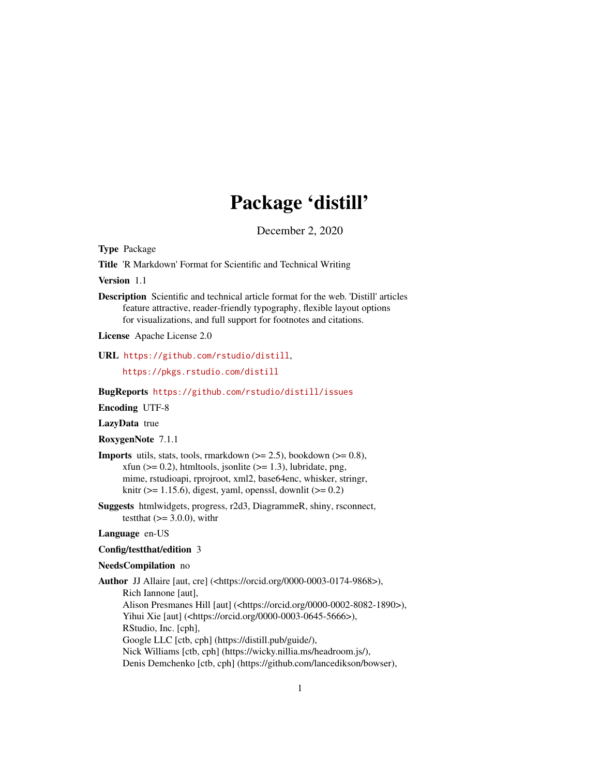# Package 'distill'

December 2, 2020

<span id="page-0-0"></span>Type Package

Title 'R Markdown' Format for Scientific and Technical Writing

Version 1.1

Description Scientific and technical article format for the web. 'Distill' articles feature attractive, reader-friendly typography, flexible layout options for visualizations, and full support for footnotes and citations.

License Apache License 2.0

### URL <https://github.com/rstudio/distill>,

<https://pkgs.rstudio.com/distill>

BugReports <https://github.com/rstudio/distill/issues>

Encoding UTF-8

LazyData true

RoxygenNote 7.1.1

- **Imports** utils, stats, tools, rmarkdown  $(>= 2.5)$ , bookdown  $(>= 0.8)$ , xfun ( $>= 0.2$ ), htmltools, jsonlite ( $>= 1.3$ ), lubridate, png, mime, rstudioapi, rprojroot, xml2, base64enc, whisker, stringr, knitr ( $>= 1.15.6$ ), digest, yaml, openssl, downlit ( $>= 0.2$ )
- Suggests htmlwidgets, progress, r2d3, DiagrammeR, shiny, rsconnect, testthat  $(>= 3.0.0)$ , with r

#### Language en-US

#### Config/testthat/edition 3

#### NeedsCompilation no

Author JJ Allaire [aut, cre] (<https://orcid.org/0000-0003-0174-9868>), Rich Iannone [aut], Alison Presmanes Hill [aut] (<https://orcid.org/0000-0002-8082-1890>), Yihui Xie [aut] (<https://orcid.org/0000-0003-0645-5666>), RStudio, Inc. [cph], Google LLC [ctb, cph] (https://distill.pub/guide/), Nick Williams [ctb, cph] (https://wicky.nillia.ms/headroom.js/), Denis Demchenko [ctb, cph] (https://github.com/lancedikson/bowser),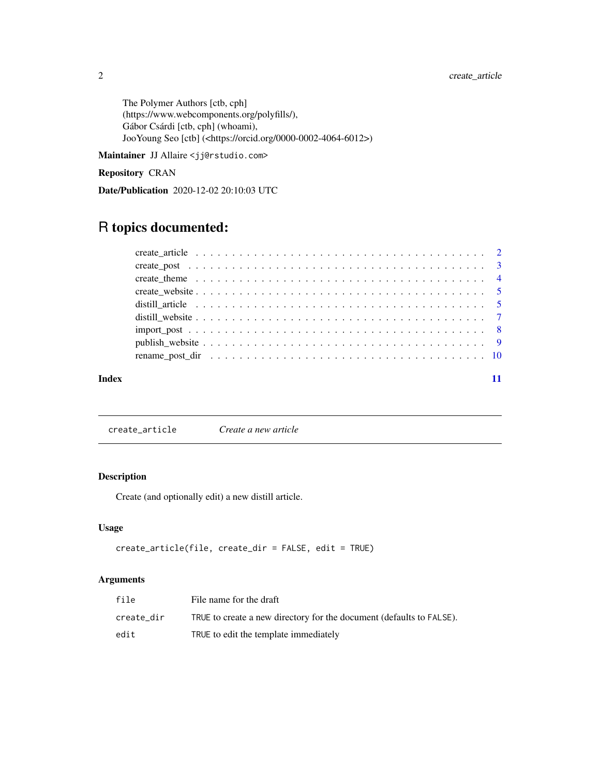<span id="page-1-0"></span>The Polymer Authors [ctb, cph] (https://www.webcomponents.org/polyfills/), Gábor Csárdi [ctb, cph] (whoami), JooYoung Seo [ctb] (<https://orcid.org/0000-0002-4064-6012>)

Maintainer JJ Allaire <jj@rstudio.com>

Repository CRAN

Date/Publication 2020-12-02 20:10:03 UTC

# R topics documented:

#### **Index** [11](#page-10-0)

create\_article *Create a new article*

# Description

Create (and optionally edit) a new distill article.

# Usage

```
create_article(file, create_dir = FALSE, edit = TRUE)
```
# Arguments

| file       | File name for the draft                                              |
|------------|----------------------------------------------------------------------|
| create dir | TRUE to create a new directory for the document (defaults to FALSE). |
| edit       | TRUE to edit the template immediately                                |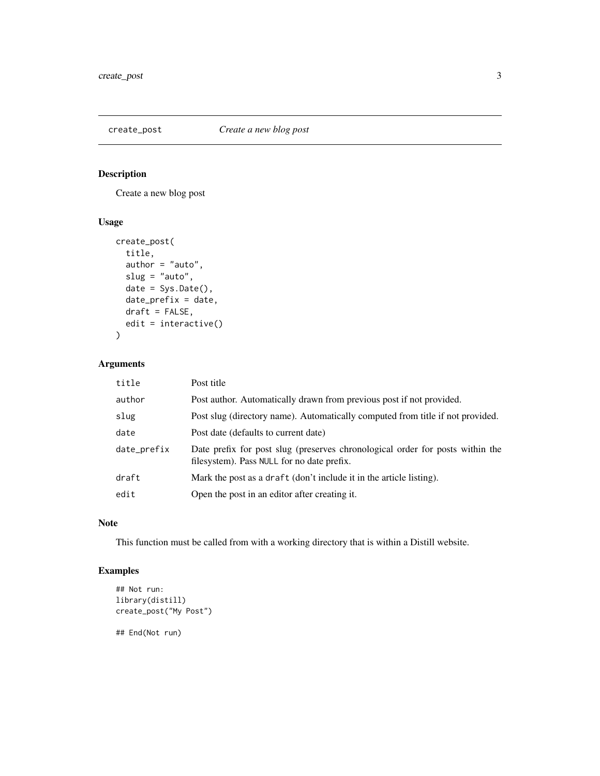# <span id="page-2-0"></span>create\_post *Create a new blog post*

# Description

Create a new blog post

# Usage

```
create_post(
  title,
 author = "auto",
 slug = "auto",date = Sys.Date(),
 date_prefix = date,
 draft = FALSE,
 edit = interactive()
)
```
# Arguments

| title       | Post title                                                                                                                  |
|-------------|-----------------------------------------------------------------------------------------------------------------------------|
| author      | Post author. Automatically drawn from previous post if not provided.                                                        |
| slug        | Post slug (directory name). Automatically computed from title if not provided.                                              |
| date        | Post date (defaults to current date)                                                                                        |
| date_prefix | Date prefix for post slug (preserves chronological order for posts within the<br>filesystem). Pass NULL for no date prefix. |
| draft       | Mark the post as a draft (don't include it in the article listing).                                                         |
| edit        | Open the post in an editor after creating it.                                                                               |

#### Note

This function must be called from with a working directory that is within a Distill website.

# Examples

```
## Not run:
library(distill)
create_post("My Post")
```
## End(Not run)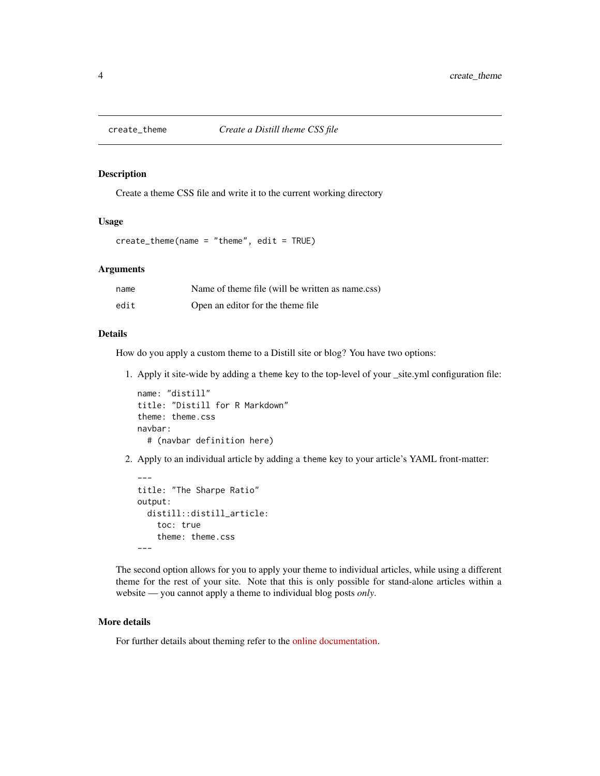<span id="page-3-0"></span>

Create a theme CSS file and write it to the current working directory

#### Usage

```
create_theme(name = "theme", edit = TRUE)
```
### Arguments

| name | Name of theme file (will be written as name.css) |
|------|--------------------------------------------------|
| edit | Open an editor for the theme file.               |

#### Details

How do you apply a custom theme to a Distill site or blog? You have two options:

1. Apply it site-wide by adding a theme key to the top-level of your \_site.yml configuration file:

```
name: "distill"
title: "Distill for R Markdown"
theme: theme.css
navbar:
  # (navbar definition here)
```
2. Apply to an individual article by adding a theme key to your article's YAML front-matter:

```
---
title: "The Sharpe Ratio"
output:
  distill::distill_article:
    toc: true
    theme: theme.css
---
```
The second option allows for you to apply your theme to individual articles, while using a different theme for the rest of your site. Note that this is only possible for stand-alone articles within a website — you cannot apply a theme to individual blog posts *only*.

# More details

For further details about theming refer to the [online documentation.](https://rstudio.github.io/distill/website.html#theming)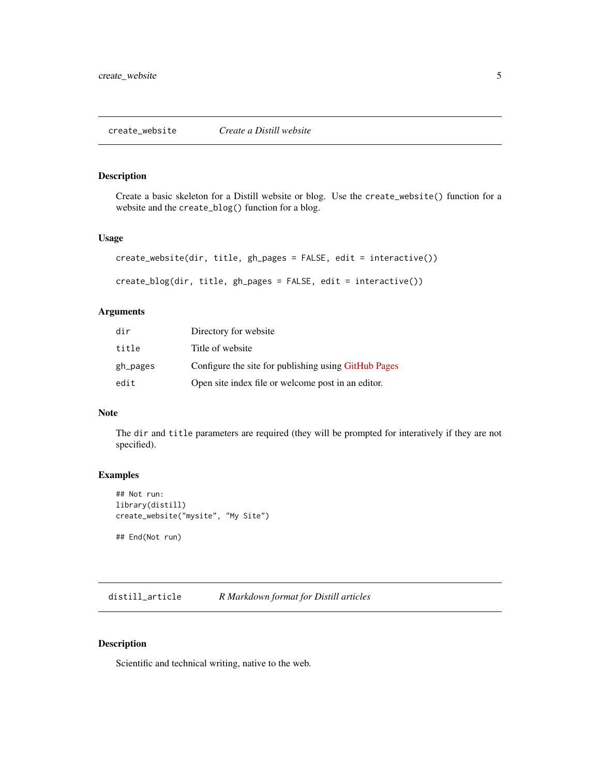<span id="page-4-0"></span>Create a basic skeleton for a Distill website or blog. Use the create\_website() function for a website and the create\_blog() function for a blog.

#### Usage

```
create_website(dir, title, gh_pages = FALSE, edit = interactive())
create_blog(dir, title, gh_pages = FALSE, edit = interactive())
```
#### Arguments

| dir      | Directory for website                                |
|----------|------------------------------------------------------|
| title    | Title of website                                     |
| gh_pages | Configure the site for publishing using GitHub Pages |
| edit     | Open site index file or welcome post in an editor.   |

#### Note

The dir and title parameters are required (they will be prompted for interatively if they are not specified).

# Examples

```
## Not run:
library(distill)
create_website("mysite", "My Site")
```
## End(Not run)

distill\_article *R Markdown format for Distill articles*

#### Description

Scientific and technical writing, native to the web.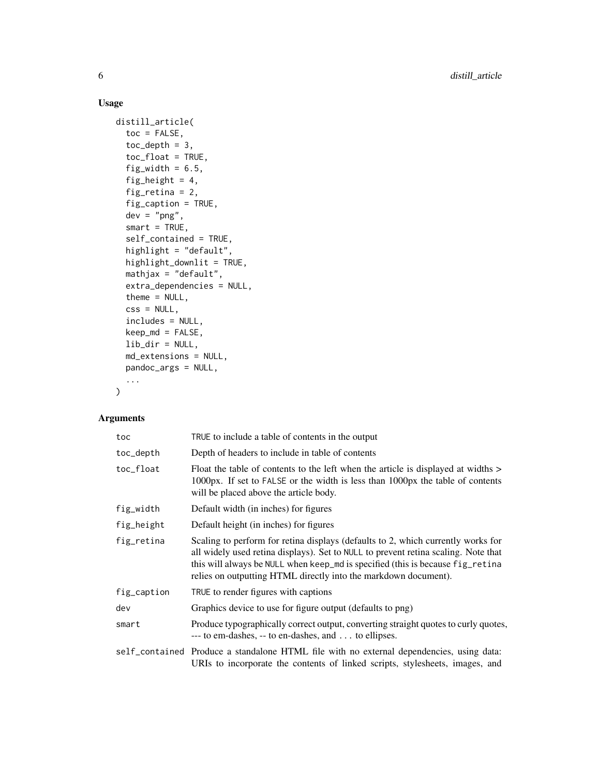# Usage

```
distill_article(
  toc = FALSE,toc\_depth = 3,
  toc_float = TRUE,
  fig_width = 6.5,
  fig_height = 4,
  fig_retina = 2,
  fig_caption = TRUE,
  dev = "png",smart = TRUE,self_contained = TRUE,
 highlight = "default",
 highlight_downlit = TRUE,
 mathjax = "default",
  extra_dependencies = NULL,
  theme = NULL,
  \text{css} = \text{NULL},
  includes = NULL,
 keep_md = FALSE,
 lib_dir = NULL,
 md_extensions = NULL,
 pandoc_args = NULL,
  ...
\mathcal{L}
```
# Arguments

| toc         | TRUE to include a table of contents in the output                                                                                                                                                                                                                                                                           |
|-------------|-----------------------------------------------------------------------------------------------------------------------------------------------------------------------------------------------------------------------------------------------------------------------------------------------------------------------------|
| toc_depth   | Depth of headers to include in table of contents                                                                                                                                                                                                                                                                            |
| toc_float   | Float the table of contents to the left when the article is displayed at widths ><br>1000px. If set to FALSE or the width is less than 1000px the table of contents<br>will be placed above the article body.                                                                                                               |
| fig_width   | Default width (in inches) for figures                                                                                                                                                                                                                                                                                       |
| fig_height  | Default height (in inches) for figures                                                                                                                                                                                                                                                                                      |
| fig_retina  | Scaling to perform for retina displays (defaults to 2, which currently works for<br>all widely used retina displays). Set to NULL to prevent retina scaling. Note that<br>this will always be NULL when keep_md is specified (this is because fig_retina<br>relies on outputting HTML directly into the markdown document). |
| fig_caption | TRUE to render figures with captions                                                                                                                                                                                                                                                                                        |
| dev         | Graphics device to use for figure output (defaults to png)                                                                                                                                                                                                                                                                  |
| smart       | Produce typographically correct output, converting straight quotes to curly quotes,<br>--- to em-dashes, -- to en-dashes, and to ellipses.                                                                                                                                                                                  |
|             | self_contained Produce a standalone HTML file with no external dependencies, using data:<br>URIs to incorporate the contents of linked scripts, stylesheets, images, and                                                                                                                                                    |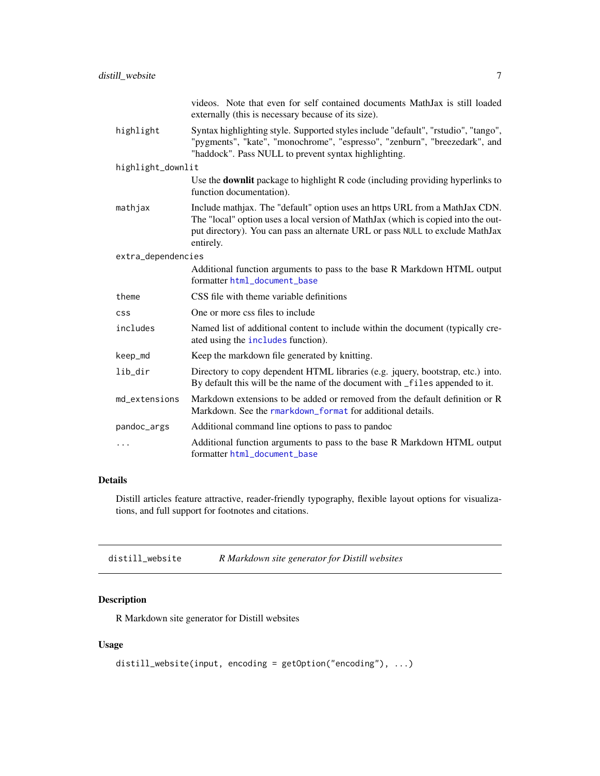<span id="page-6-0"></span>

|                    | videos. Note that even for self contained documents MathJax is still loaded<br>externally (this is necessary because of its size).                                                                                                                             |
|--------------------|----------------------------------------------------------------------------------------------------------------------------------------------------------------------------------------------------------------------------------------------------------------|
| highlight          | Syntax highlighting style. Supported styles include "default", "rstudio", "tango",<br>"pygments", "kate", "monochrome", "espresso", "zenburn", "breezedark", and<br>"haddock". Pass NULL to prevent syntax highlighting.                                       |
| highlight_downlit  |                                                                                                                                                                                                                                                                |
|                    | Use the <b>downlit</b> package to highlight R code (including providing hyperlinks to<br>function documentation).                                                                                                                                              |
| mathjax            | Include mathjax. The "default" option uses an https URL from a MathJax CDN.<br>The "local" option uses a local version of MathJax (which is copied into the out-<br>put directory). You can pass an alternate URL or pass NULL to exclude MathJax<br>entirely. |
| extra_dependencies |                                                                                                                                                                                                                                                                |
|                    | Additional function arguments to pass to the base R Markdown HTML output<br>formatter html_document_base                                                                                                                                                       |
| theme              | CSS file with theme variable definitions                                                                                                                                                                                                                       |
| <b>CSS</b>         | One or more css files to include                                                                                                                                                                                                                               |
| includes           | Named list of additional content to include within the document (typically cre-<br>ated using the includes function).                                                                                                                                          |
| keep_md            | Keep the markdown file generated by knitting.                                                                                                                                                                                                                  |
| lib_dir            | Directory to copy dependent HTML libraries (e.g. jquery, bootstrap, etc.) into.<br>By default this will be the name of the document with _files appended to it.                                                                                                |
| md_extensions      | Markdown extensions to be added or removed from the default definition or R<br>Markdown. See the rmarkdown_format for additional details.                                                                                                                      |
| pandoc_args        | Additional command line options to pass to pandoc                                                                                                                                                                                                              |
| .                  | Additional function arguments to pass to the base R Markdown HTML output<br>formatter html_document_base                                                                                                                                                       |

# Details

Distill articles feature attractive, reader-friendly typography, flexible layout options for visualizations, and full support for footnotes and citations.

| distill_website | R Markdown site generator for Distill websites |
|-----------------|------------------------------------------------|
|-----------------|------------------------------------------------|

# Description

R Markdown site generator for Distill websites

# Usage

```
distill_website(input, encoding = getOption("encoding"), ...)
```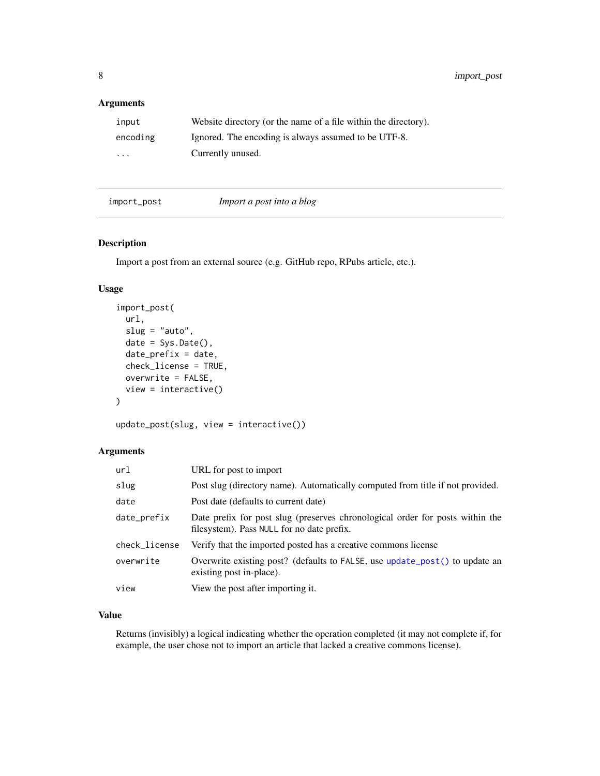# <span id="page-7-0"></span>Arguments

| input                   | Website directory (or the name of a file within the directory). |
|-------------------------|-----------------------------------------------------------------|
| encoding                | Ignored. The encoding is always assumed to be UTF-8.            |
| $\cdot$ $\cdot$ $\cdot$ | Currently unused.                                               |

#### import\_post *Import a post into a blog*

#### <span id="page-7-1"></span>Description

Import a post from an external source (e.g. GitHub repo, RPubs article, etc.).

# Usage

```
import_post(
 url,
  slug = "auto",date = Sys.Date(),
 date\_prefix = date,check_license = TRUE,
 overwrite = FALSE,
 view = interactive()
)
```
update\_post(slug, view = interactive())

# Arguments

| url           | URL for post to import                                                                                                      |
|---------------|-----------------------------------------------------------------------------------------------------------------------------|
| slug          | Post slug (directory name). Automatically computed from title if not provided.                                              |
| date          | Post date (defaults to current date)                                                                                        |
| date_prefix   | Date prefix for post slug (preserves chronological order for posts within the<br>filesystem). Pass NULL for no date prefix. |
| check_license | Verify that the imported posted has a creative commons license                                                              |
| overwrite     | Overwrite existing post? (defaults to FALSE, use update_post() to update an<br>existing post in-place).                     |
| view          | View the post after importing it.                                                                                           |

# Value

Returns (invisibly) a logical indicating whether the operation completed (it may not complete if, for example, the user chose not to import an article that lacked a creative commons license).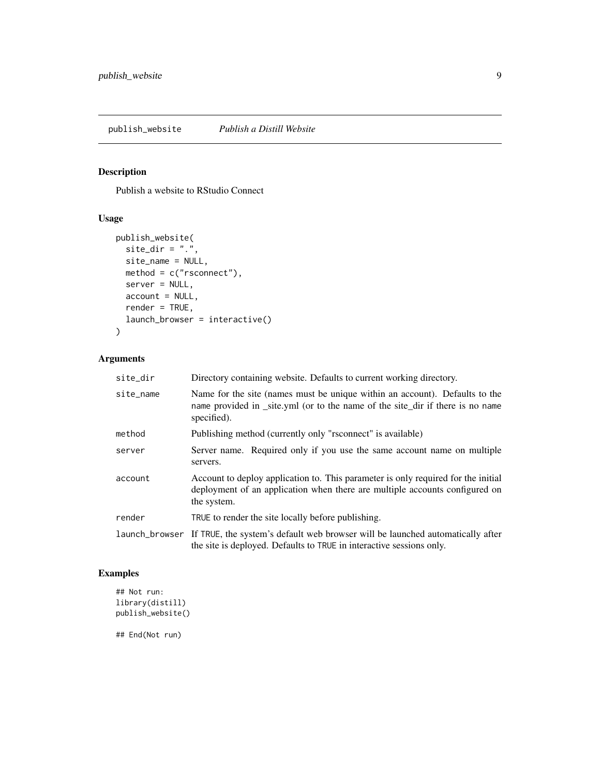<span id="page-8-0"></span>Publish a website to RStudio Connect

#### Usage

```
publish_website(
 site_dir = ".".site_name = NULL,
 method = c("rsconnect"),
  server = NULL,
 account = NULL,render = TRUE,
 launch_browser = interactive()
\mathcal{L}
```
# Arguments

| site_dir  | Directory containing website. Defaults to current working directory.                                                                                                            |
|-----------|---------------------------------------------------------------------------------------------------------------------------------------------------------------------------------|
| site_name | Name for the site (names must be unique within an account). Defaults to the<br>name provided in _site.yml (or to the name of the site_dir if there is no name<br>specified).    |
| method    | Publishing method (currently only "rsconnect" is available)                                                                                                                     |
| server    | Server name. Required only if you use the same account name on multiple<br>servers.                                                                                             |
| account   | Account to deploy application to. This parameter is only required for the initial<br>deployment of an application when there are multiple accounts configured on<br>the system. |
| render    | TRUE to render the site locally before publishing.                                                                                                                              |
|           | launch_browser If TRUE, the system's default web browser will be launched automatically after<br>the site is deployed. Defaults to TRUE in interactive sessions only.           |

# Examples

```
## Not run:
library(distill)
publish_website()
```
## End(Not run)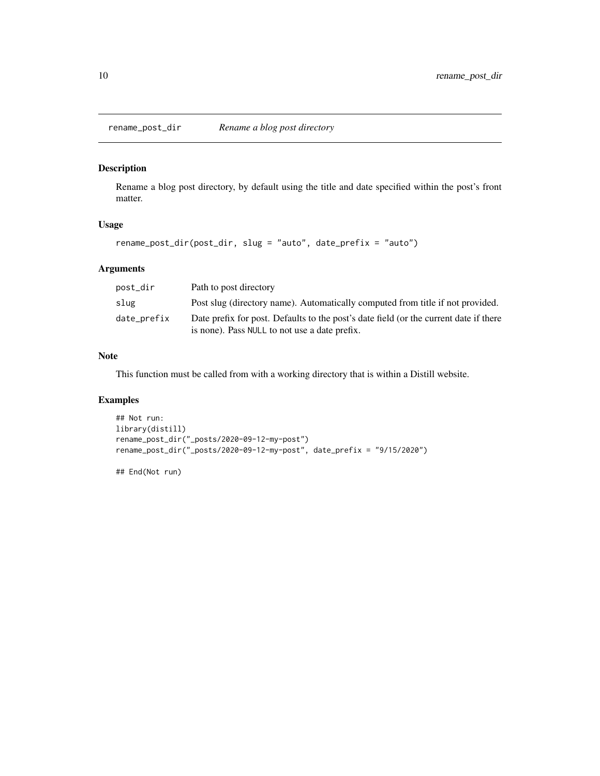<span id="page-9-0"></span>

Rename a blog post directory, by default using the title and date specified within the post's front matter.

#### Usage

rename\_post\_dir(post\_dir, slug = "auto", date\_prefix = "auto")

# Arguments

| post_dir    | Path to post directory                                                                                                                 |
|-------------|----------------------------------------------------------------------------------------------------------------------------------------|
| slug        | Post slug (directory name). Automatically computed from title if not provided.                                                         |
| date_prefix | Date prefix for post. Defaults to the post's date field (or the current date if there<br>is none). Pass NULL to not use a date prefix. |

# Note

This function must be called from with a working directory that is within a Distill website.

# Examples

```
## Not run:
library(distill)
rename_post_dir("_posts/2020-09-12-my-post")
rename_post_dir("_posts/2020-09-12-my-post", date_prefix = "9/15/2020")
```
## End(Not run)